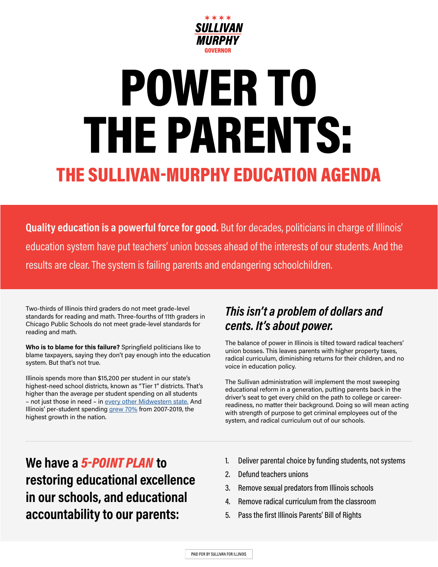

# POWER TO THE PARENTS: THE SULLIVAN-MURPHY EDUCATION AGENDA

**Quality education is a powerful force for good.** But for decades, politicians in charge of Illinois' education system have put teachers' union bosses ahead of the interests of our students. And the results are clear. The system is failing parents and endangering schoolchildren.

Two-thirds of Illinois third graders do not meet grade-level standards for reading and math. Three-fourths of 11th graders in Chicago Public Schools do not meet grade-level standards for reading and math.

**Who is to blame for this failure?** Springfield politicians like to blame taxpayers, saying they don't pay enough into the education system. But that's not true.

Illinois spends more than \$15,200 per student in our state's highest-need school districts, known as "Tier 1" districts. That's higher than the average per student spending on all students – not just those in need – in [every other Midwestern state.](https://wirepoints.org/new-u-s-census-data-illinois-education-spending-grew-most-in-nation-and-yet-student-achievement-flatlined-wirepoints-press-release/#:~:text=CHICAGO%20(July%207%2C%202021),average%20over%20the%20same%20period.) And Illinois' per-student spending [grew 70%](https://wirepoints.org/new-u-s-census-data-illinois-education-spending-grew-most-in-nation-and-yet-student-achievement-flatlined-wirepoints-press-release/#:~:text=CHICAGO%20(July%207%2C%202021),average%20over%20the%20same%20period.) from 2007-2019, the highest growth in the nation.

### *This isn't a problem of dollars and cents. It's about power.*

The balance of power in Illinois is tilted toward radical teachers' union bosses. This leaves parents with higher property taxes, radical curriculum, diminishing returns for their children, and no voice in education policy.

The Sullivan administration will implement the most sweeping educational reform in a generation, putting parents back in the driver's seat to get every child on the path to college or careerreadiness, no matter their background. Doing so will mean acting with strength of purpose to get criminal employees out of the system, and radical curriculum out of our schools.

**We have a** *5-POINT PLAN* **to restoring educational excellence in our schools, and educational accountability to our parents:**

- 1. Deliver parental choice by funding students, not systems
- 2. Defund teachers unions
- 3. Remove sexual predators from Illinois schools
- 4. Remove radical curriculum from the classroom
- 5. Pass the first Illinois Parents' Bill of Rights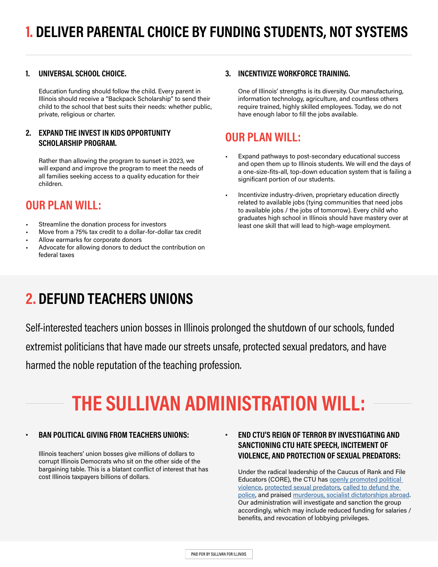#### **1. UNIVERSAL SCHOOL CHOICE.**

Education funding should follow the child. Every parent in Illinois should receive a "Backpack Scholarship" to send their child to the school that best suits their needs: whether public, private, religious or charter.

#### **2. EXPAND THE INVEST IN KIDS OPPORTUNITY SCHOLARSHIP PROGRAM.**

Rather than allowing the program to sunset in 2023, we will expand and improve the program to meet the needs of all families seeking access to a quality education for their children.

### **OUR PLAN WILL:**

- Streamline the donation process for investors
- Move from a 75% tax credit to a dollar-for-dollar tax credit
- Allow earmarks for corporate donors
- Advocate for allowing donors to deduct the contribution on federal taxes

#### **3. INCENTIVIZE WORKFORCE TRAINING.**

One of Illinois' strengths is its diversity. Our manufacturing, information technology, agriculture, and countless others require trained, highly skilled employees. Today, we do not have enough labor to fill the jobs available.

#### **OUR PLAN WILL:**

- Expand pathways to post-secondary educational success and open them up to Illinois students. We will end the days of a one-size-fits-all, top-down education system that is failing a significant portion of our students.
- Incentivize industry-driven, proprietary education directly related to available jobs (tying communities that need jobs to available jobs / the jobs of tomorrow). Every child who graduates high school in Illinois should have mastery over at least one skill that will lead to high-wage employment.

### **2. DEFUND TEACHERS UNIONS**

Self-interested teachers union bosses in Illinois prolonged the shutdown of our schools, funded

extremist politicians that have made our streets unsafe, protected sexual predators, and have

harmed the noble reputation of the teaching profession.

# **THE SULLIVAN ADMINISTRATION WILL:**

#### **• BAN POLITICAL GIVING FROM TEACHERS UNIONS:**

Illinois teachers' union bosses give millions of dollars to corrupt Illinois Democrats who sit on the other side of the bargaining table. This is a blatant conflict of interest that has cost Illinois taxpayers billions of dollars.

**• END CTU'S REIGN OF TERROR BY INVESTIGATING AND SANCTIONING CTU HATE SPEECH, INCITEMENT OF VIOLENCE, AND PROTECTION OF SEXUAL PREDATORS:** 

Under the radical leadership of the Caucus of Rank and File Educators (CORE), the CTU has [openly promoted political](https://www.thecentersquare.com/illinois/ctu-sparks-controversy-with-tweet-about-guillotine-outside-amazon-ceos-home/article_d7c8ba36-e957-11ea-9bc7-e3e466d3ef28.html)  [violence,](https://www.thecentersquare.com/illinois/ctu-sparks-controversy-with-tweet-about-guillotine-outside-amazon-ceos-home/article_d7c8ba36-e957-11ea-9bc7-e3e466d3ef28.html) [protected sexual predators,](http://www.substancenews.net/articles.php?page=7783§ion=Article) [called to defund the](https://www.ctulocal1.org/chicago-union-teacher/2020/09/defund-police-and-banks-support-schools-and-a-more-just-social-order/)  [police,](https://www.ctulocal1.org/chicago-union-teacher/2020/09/defund-police-and-banks-support-schools-and-a-more-just-social-order/) and praised [murderous, socialist dictatorships abroad](https://www.chicagotribune.com/news/breaking/ct-chicago-teachers-union-venezuela-trip-20190819-tbpa3lhjifduxgupdxfs3mosr4-story.html). Our administration will investigate and sanction the group accordingly, which may include reduced funding for salaries / benefits, and revocation of lobbying privileges.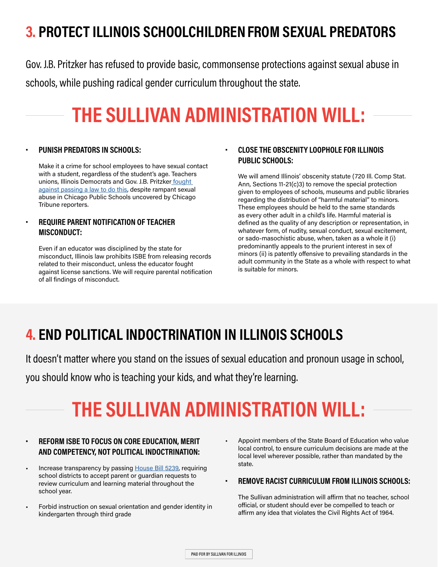# **3. PROTECT ILLINOIS SCHOOLCHILDREN FROM SEXUAL PREDATORS**

Gov. J.B. Pritzker has refused to provide basic, commonsense protections against sexual abuse in schools, while pushing radical gender curriculum throughout the state.

# **THE SULLIVAN ADMINISTRATION WILL:**

#### **• PUNISH PREDATORS IN SCHOOLS:**

Make it a crime for school employees to have sexual contact with a student, regardless of the student's age. Teachers unions, Illinois Democrats and Gov. J.B. Pritzker fought [against passing a law to do this,](https://www.chicagotribune.com/opinion/editorials/ct-edit-betrayed-pritzker-law-20190531-story.html) despite rampant sexual abuse in Chicago Public Schools uncovered by Chicago Tribune reporters.

#### **• REQUIRE PARENT NOTIFICATION OF TEACHER MISCONDUCT:**

Even if an educator was disciplined by the state for misconduct, Illinois law prohibits ISBE from releasing records related to their misconduct, unless the educator fought against license sanctions. We will require parental notification of all findings of misconduct.

#### **• CLOSE THE OBSCENITY LOOPHOLE FOR ILLINOIS PUBLIC SCHOOLS:**

We will amend Illinois' obscenity statute (720 Ill. Comp Stat. Ann, Sections 11-21(c)3) to remove the special protection given to employees of schools, museums and public libraries regarding the distribution of "harmful material" to minors. These employees should be held to the same standards as every other adult in a child's life. Harmful material is defined as the quality of any description or representation, in whatever form, of nudity, sexual conduct, sexual excitement, or sado-masochistic abuse, when, taken as a whole it (i) predominantly appeals to the prurient interest in sex of minors (ii) is patently offensive to prevailing standards in the adult community in the State as a whole with respect to what is suitable for minors.

### **4. END POLITICAL INDOCTRINATION IN ILLINOIS SCHOOLS**

It doesn't matter where you stand on the issues of sexual education and pronoun usage in school,

you should know who is teaching your kids, and what they're learning.

# **THE SULLIVAN ADMINISTRATION WILL:**

#### **• REFORM ISBE TO FOCUS ON CORE EDUCATION, MERIT AND COMPETENCY, NOT POLITICAL INDOCTRINATION:**

- Increase transparency by passing [House Bill 5239,](https://www.ilga.gov/legislation/billstatus.asp?DocNum=5239&GAID=16&GA=102&DocTypeID=HB&LegID=139747&SessionID=110) requiring school districts to accept parent or guardian requests to review curriculum and learning material throughout the school year.
- Forbid instruction on sexual orientation and gender identity in kindergarten through third grade
- Appoint members of the State Board of Education who value local control, to ensure curriculum decisions are made at the local level wherever possible, rather than mandated by the state.

#### **• REMOVE RACIST CURRICULUM FROM ILLINOIS SCHOOLS:**

The Sullivan administration will affirm that no teacher, school official, or student should ever be compelled to teach or affirm any idea that violates the Civil Rights Act of 1964.